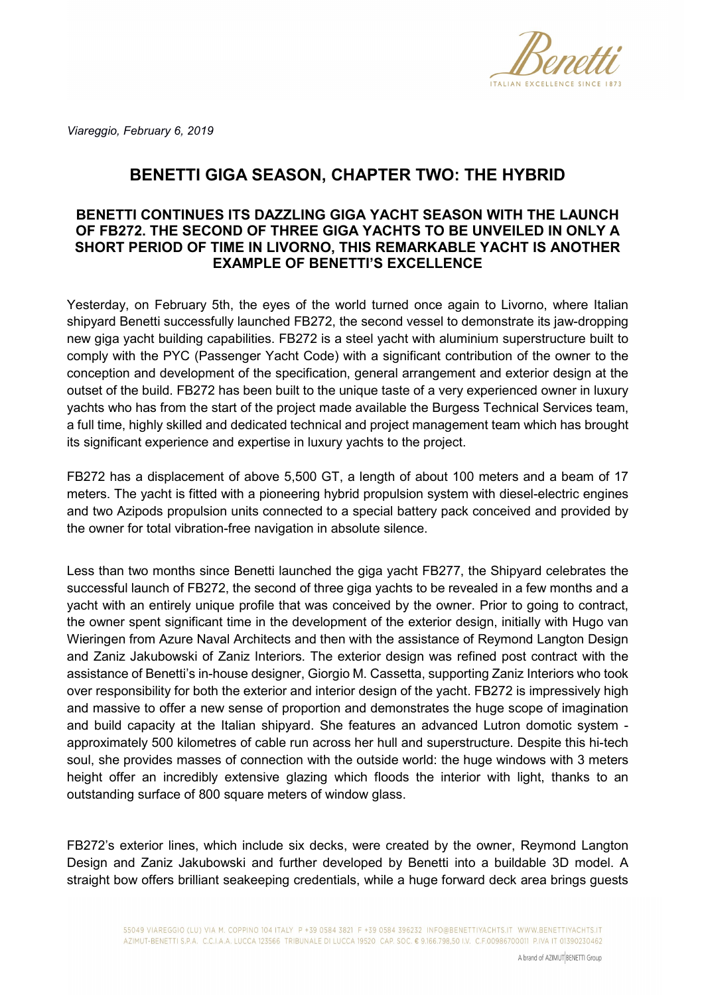

*Viareggio, February 6, 2019*

## **BENETTI GIGA SEASON, CHAPTER TWO: THE HYBRID**

## **BENETTI CONTINUES ITS DAZZLING GIGA YACHT SEASON WITH THE LAUNCH OF FB272. THE SECOND OF THREE GIGA YACHTS TO BE UNVEILED IN ONLY A SHORT PERIOD OF TIME IN LIVORNO, THIS REMARKABLE YACHT IS ANOTHER EXAMPLE OF BENETTI'S EXCELLENCE**

Yesterday, on February 5th, the eyes of the world turned once again to Livorno, where Italian shipyard Benetti successfully launched FB272, the second vessel to demonstrate its jaw-dropping new giga yacht building capabilities. FB272 is a steel yacht with aluminium superstructure built to comply with the PYC (Passenger Yacht Code) with a significant contribution of the owner to the conception and development of the specification, general arrangement and exterior design at the outset of the build. FB272 has been built to the unique taste of a very experienced owner in luxury yachts who has from the start of the project made available the Burgess Technical Services team, a full time, highly skilled and dedicated technical and project management team which has brought its significant experience and expertise in luxury yachts to the project.

FB272 has a displacement of above 5,500 GT, a length of about 100 meters and a beam of 17 meters. The yacht is fitted with a pioneering hybrid propulsion system with diesel-electric engines and two Azipods propulsion units connected to a special battery pack conceived and provided by the owner for total vibration-free navigation in absolute silence.

Less than two months since Benetti launched the giga yacht FB277, the Shipyard celebrates the successful launch of FB272, the second of three giga yachts to be revealed in a few months and a yacht with an entirely unique profile that was conceived by the owner. Prior to going to contract, the owner spent significant time in the development of the exterior design, initially with Hugo van Wieringen from Azure Naval Architects and then with the assistance of Reymond Langton Design and Zaniz Jakubowski of Zaniz Interiors. The exterior design was refined post contract with the assistance of Benetti's in-house designer, Giorgio M. Cassetta, supporting Zaniz Interiors who took over responsibility for both the exterior and interior design of the yacht. FB272 is impressively high and massive to offer a new sense of proportion and demonstrates the huge scope of imagination and build capacity at the Italian shipyard. She features an advanced Lutron domotic system approximately 500 kilometres of cable run across her hull and superstructure. Despite this hi-tech soul, she provides masses of connection with the outside world: the huge windows with 3 meters height offer an incredibly extensive glazing which floods the interior with light, thanks to an outstanding surface of 800 square meters of window glass.

FB272's exterior lines, which include six decks, were created by the owner, Reymond Langton Design and Zaniz Jakubowski and further developed by Benetti into a buildable 3D model. A straight bow offers brilliant seakeeping credentials, while a huge forward deck area brings guests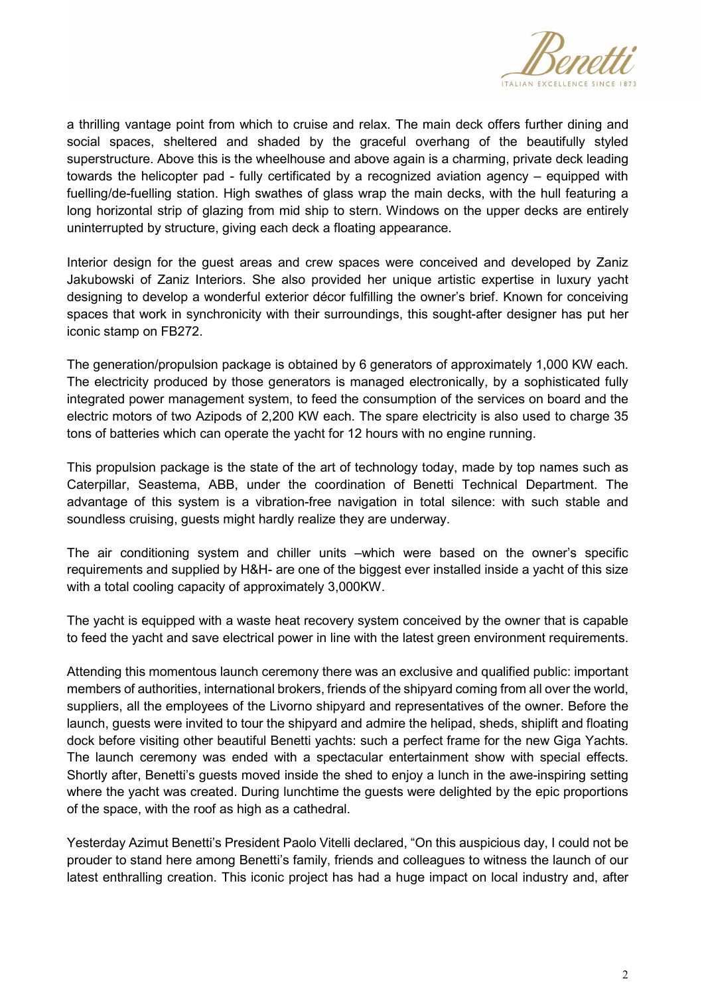

a thrilling vantage point from which to cruise and relax. The main deck offers further dining and social spaces, sheltered and shaded by the graceful overhang of the beautifully styled superstructure. Above this is the wheelhouse and above again is a charming, private deck leading towards the helicopter pad - fully certificated by a recognized aviation agency – equipped with fuelling/de-fuelling station. High swathes of glass wrap the main decks, with the hull featuring a long horizontal strip of glazing from mid ship to stern. Windows on the upper decks are entirely uninterrupted by structure, giving each deck a floating appearance.

Interior design for the guest areas and crew spaces were conceived and developed by Zaniz Jakubowski of Zaniz Interiors. She also provided her unique artistic expertise in luxury yacht designing to develop a wonderful exterior décor fulfilling the owner's brief. Known for conceiving spaces that work in synchronicity with their surroundings, this sought-after designer has put her iconic stamp on FB272.

The generation/propulsion package is obtained by 6 generators of approximately 1,000 KW each. The electricity produced by those generators is managed electronically, by a sophisticated fully integrated power management system, to feed the consumption of the services on board and the electric motors of two Azipods of 2,200 KW each. The spare electricity is also used to charge 35 tons of batteries which can operate the yacht for 12 hours with no engine running.

This propulsion package is the state of the art of technology today, made by top names such as Caterpillar, Seastema, ABB, under the coordination of Benetti Technical Department. The advantage of this system is a vibration-free navigation in total silence: with such stable and soundless cruising, guests might hardly realize they are underway.

The air conditioning system and chiller units –which were based on the owner's specific requirements and supplied by H&H- are one of the biggest ever installed inside a yacht of this size with a total cooling capacity of approximately 3,000KW.

The yacht is equipped with a waste heat recovery system conceived by the owner that is capable to feed the yacht and save electrical power in line with the latest green environment requirements.

Attending this momentous launch ceremony there was an exclusive and qualified public: important members of authorities, international brokers, friends of the shipyard coming from all over the world, suppliers, all the employees of the Livorno shipyard and representatives of the owner. Before the launch, guests were invited to tour the shipyard and admire the helipad, sheds, shiplift and floating dock before visiting other beautiful Benetti yachts: such a perfect frame for the new Giga Yachts. The launch ceremony was ended with a spectacular entertainment show with special effects. Shortly after, Benetti's guests moved inside the shed to enjoy a lunch in the awe-inspiring setting where the yacht was created. During lunchtime the guests were delighted by the epic proportions of the space, with the roof as high as a cathedral.

Yesterday Azimut Benetti's President Paolo Vitelli declared, "On this auspicious day, I could not be prouder to stand here among Benetti's family, friends and colleagues to witness the launch of our latest enthralling creation. This iconic project has had a huge impact on local industry and, after